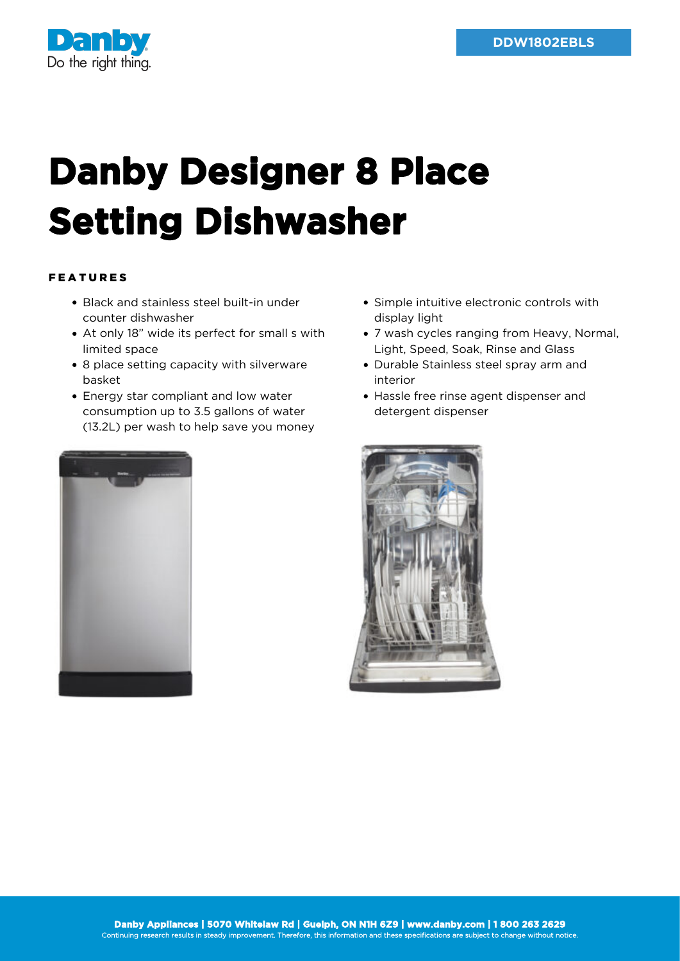

## **Danby Designer 8 Place Setting Dishwasher**

## FEATURES

- Black and stainless steel built-in under counter dishwasher
- At only 18" wide its perfect for small s with limited space
- 8 place setting capacity with silverware basket
- Energy star compliant and low water consumption up to 3.5 gallons of water (13.2L) per wash to help save you money



- Simple intuitive electronic controls with display light
- 7 wash cycles ranging from Heavy, Normal, Light, Speed, Soak, Rinse and Glass
- Durable Stainless steel spray arm and interior
- Hassle free rinse agent dispenser and detergent dispenser